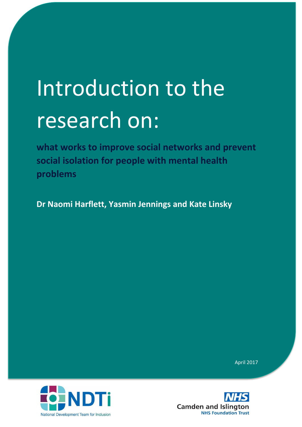# Introduction to the research on:

**what works to improve social networks and prevent social isolation for people with mental health problems**

**Dr Naomi Harflett, Yasmin Jennings and Kate Linsky**





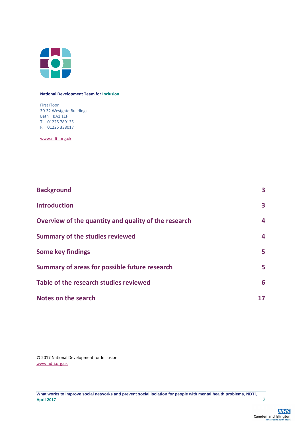

#### **National Development Team for Inclusion**

First Floor 30-32 Westgate Buildings Bath BA1 1EF T: 01225 789135 F: 01225 338017

[www.ndti.org.uk](http://www.ndti.org.uk/)

| <b>Background</b>                                    | 3  |
|------------------------------------------------------|----|
| <b>Introduction</b>                                  | 3  |
| Overview of the quantity and quality of the research | 4  |
| <b>Summary of the studies reviewed</b>               | 4  |
| <b>Some key findings</b>                             | 5  |
| Summary of areas for possible future research        | 5  |
| Table of the research studies reviewed               | 6  |
| Notes on the search                                  | 17 |

© 2017 National Development for Inclusion [www.ndti.org.uk](http://www.ndti.org.uk/)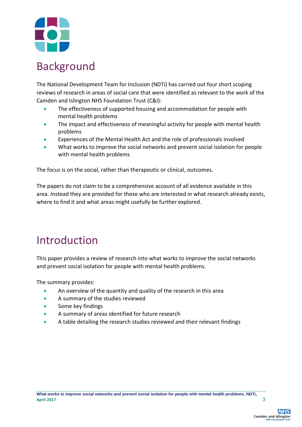

### Background

The National Development Team for Inclusion (NDTi) has carried out four short scoping reviews of research in areas of social care that were identified as relevant to the work of the Camden and Islington NHS Foundation Trust (C&I):

- The effectiveness of supported housing and accommodation for people with mental health problems
- The impact and effectiveness of meaningful activity for people with mental health problems
- Experiences of the Mental Health Act and the role of professionals involved
- What works to improve the social networks and prevent social isolation for people with mental health problems

The focus is on the social, rather than therapeutic or clinical, outcomes.

The papers do not claim to be a comprehensive account of all evidence available in this area. Instead they are provided for those who are interested in what research already exists, where to find it and what areas might usefully be further explored.

#### Introduction

This paper provides a review of research into what works to improve the social networks and prevent social isolation for people with mental health problems.

The summary provides:

- An overview of the quantity and quality of the research in this area
- A summary of the studies reviewed
- **•** Some key findings
- A summary of areas identified for future research
- A table detailing the research studies reviewed and their relevant findings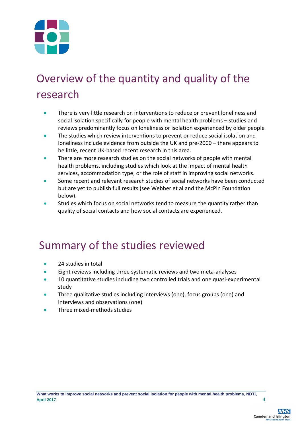

# Overview of the quantity and quality of the research

- There is very little research on interventions to reduce or prevent loneliness and social isolation specifically for people with mental health problems – studies and reviews predominantly focus on loneliness or isolation experienced by older people
- The studies which review interventions to prevent or reduce social isolation and loneliness include evidence from outside the UK and pre-2000 – there appears to be little, recent UK-based recent research in this area.
- There are more research studies on the social networks of people with mental health problems, including studies which look at the impact of mental health services, accommodation type, or the role of staff in improving social networks.
- Some recent and relevant research studies of social networks have been conducted but are yet to publish full results (see Webber et al and the McPin Foundation below).
- Studies which focus on social networks tend to measure the quantity rather than quality of social contacts and how social contacts are experienced.

#### Summary of the studies reviewed

- 24 studies in total
- **Eight reviews including three systematic reviews and two meta-analyses**
- **10 quantitative studies including two controlled trials and one quasi-experimental** study
- Three qualitative studies including interviews (one), focus groups (one) and interviews and observations (one)
- Three mixed-methods studies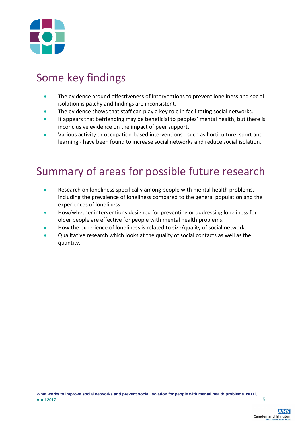

## Some key findings

- The evidence around effectiveness of interventions to prevent loneliness and social isolation is patchy and findings are inconsistent.
- The evidence shows that staff can play a key role in facilitating social networks.
- It appears that befriending may be beneficial to peoples' mental health, but there is inconclusive evidence on the impact of peer support.
- Various activity or occupation-based interventions such as horticulture, sport and learning - have been found to increase social networks and reduce social isolation.

### Summary of areas for possible future research

- Research on loneliness specifically among people with mental health problems, including the prevalence of loneliness compared to the general population and the experiences of loneliness.
- How/whether interventions designed for preventing or addressing loneliness for older people are effective for people with mental health problems.
- How the experience of loneliness is related to size/quality of social network.
- Qualitative research which looks at the quality of social contacts as well as the quantity.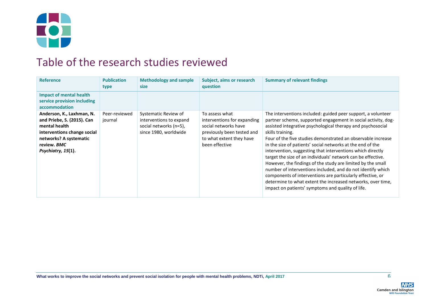

#### Table of the research studies reviewed

| <b>Reference</b>                                                                                                                                                       | <b>Publication</b><br>type | <b>Methodology and sample</b><br><b>size</b>                                                       | Subject, aims or research<br>question                                                                                                             | <b>Summary of relevant findings</b>                                                                                                                                                                                                                                                                                                                                                                                                                                                                                                                                                                                                                                                                                                                                                          |
|------------------------------------------------------------------------------------------------------------------------------------------------------------------------|----------------------------|----------------------------------------------------------------------------------------------------|---------------------------------------------------------------------------------------------------------------------------------------------------|----------------------------------------------------------------------------------------------------------------------------------------------------------------------------------------------------------------------------------------------------------------------------------------------------------------------------------------------------------------------------------------------------------------------------------------------------------------------------------------------------------------------------------------------------------------------------------------------------------------------------------------------------------------------------------------------------------------------------------------------------------------------------------------------|
| <b>Impact of mental health</b><br>service provision including<br>accommodation                                                                                         |                            |                                                                                                    |                                                                                                                                                   |                                                                                                                                                                                                                                                                                                                                                                                                                                                                                                                                                                                                                                                                                                                                                                                              |
| Anderson, K., Laxhman, N.<br>and Priebe, S. (2015). Can<br>mental health<br>interventions change social<br>networks? A systematic<br>review. BMC<br>Psychiatry, 15(1). | Peer-reviewed<br>journal   | Systematic Review of<br>interventions to expand<br>social networks (n=5),<br>since 1980, worldwide | To assess what<br>interventions for expanding<br>social networks have<br>previously been tested and<br>to what extent they have<br>been effective | The interventions included: guided peer support, a volunteer<br>partner scheme, supported engagement in social activity, dog-<br>assisted integrative psychological therapy and psychosocial<br>skills training.<br>Four of the five studies demonstrated an observable increase<br>in the size of patients' social networks at the end of the<br>intervention, suggesting that interventions which directly<br>target the size of an individuals' network can be effective.<br>However, the findings of the study are limited by the small<br>number of interventions included, and do not identify which<br>components of interventions are particularly effective, or<br>determine to what extent the increased networks, over time,<br>impact on patients' symptoms and quality of life. |

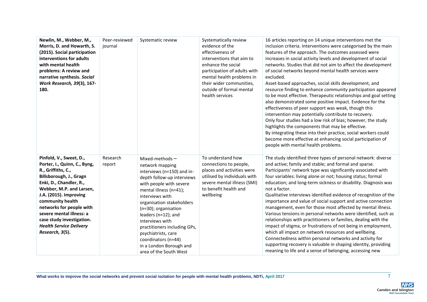| Newlin, M., Webber, M.,<br>Morris, D. and Howarth, S.<br>(2015). Social participation<br>interventions for adults<br>with mental health<br>problems: A review and<br>narrative synthesis. Social<br>Work Research, 39(3), 167-<br>180.                                                                                                                  | Peer-reviewed<br>journal | Systematic review                                                                                                                                                                                                                                                                                                                                                                                          | Systematically review<br>evidence of the<br>effectiveness of<br>interventions that aim to<br>enhance the social<br>participation of adults with<br>mental health problems in<br>their wider communities,<br>outside of formal mental<br>health services | 16 articles reporting on 14 unique interventions met the<br>inclusion criteria. Interventions were categorised by the main<br>features of the approach. The outcomes assessed were<br>increases in social activity levels and development of social<br>networks. Studies that did not aim to affect the development<br>of social networks beyond mental health services were<br>excluded.<br>Asset-based approaches, social skills development, and<br>resource finding to enhance community participation appeared<br>to be most effective. Therapeutic relationships and goal setting<br>also demonstrated some positive impact. Evidence for the<br>effectiveness of peer support was weak, though this<br>intervention may potentially contribute to recovery.<br>Only four studies had a low risk of bias; however, the study<br>highlights the components that may be effective.<br>By integrating these into their practice, social workers could<br>become more effective at enhancing social participation of<br>people with mental health problems. |
|---------------------------------------------------------------------------------------------------------------------------------------------------------------------------------------------------------------------------------------------------------------------------------------------------------------------------------------------------------|--------------------------|------------------------------------------------------------------------------------------------------------------------------------------------------------------------------------------------------------------------------------------------------------------------------------------------------------------------------------------------------------------------------------------------------------|---------------------------------------------------------------------------------------------------------------------------------------------------------------------------------------------------------------------------------------------------------|---------------------------------------------------------------------------------------------------------------------------------------------------------------------------------------------------------------------------------------------------------------------------------------------------------------------------------------------------------------------------------------------------------------------------------------------------------------------------------------------------------------------------------------------------------------------------------------------------------------------------------------------------------------------------------------------------------------------------------------------------------------------------------------------------------------------------------------------------------------------------------------------------------------------------------------------------------------------------------------------------------------------------------------------------------------|
| Pinfold, V., Sweet, D.,<br>Porter, I., Quinn, C., Byng,<br>R., Griffiths, C.,<br>Billsborough, J., Gragn<br>Enki, D., Chandler, R.,<br>Webber, M.P. and Larsen,<br>J.A. (2015). Improving<br>community health<br>networks for people with<br>severe mental illness: a<br>case study investigation.<br><b>Health Service Delivery</b><br>Research, 3(5). | Research<br>report       | Mixed-methods $-$<br>network mapping<br>interviews (n=150) and in-<br>depth follow-up interviews<br>with people with severe<br>mental illness (n=41);<br>interviews with<br>organisation stakeholders<br>(n=30); organisation<br>leaders (n=12); and<br>interviews with<br>practitioners including GPs,<br>psychiatrists, care<br>coordinators (n=44)<br>in a London Borough and<br>area of the South West | To understand how<br>connections to people,<br>places and activities were<br>utilised by individuals with<br>severe mental illness (SMI)<br>to benefit health and<br>wellbeing                                                                          | The study identified three types of personal network: diverse<br>and active; family and stable; and formal and sparse.<br>Participants' network type was significantly associated with<br>four variables: living alone or not; housing status; formal<br>education; and long-term sickness or disability. Diagnosis was<br>not a factor.<br>Qualitative interviews identified evidence of recognition of the<br>importance and value of social support and active connection<br>management, even for those most affected by mental illness.<br>Various tensions in personal networks were identified, such as<br>relationships with practitioners or families, dealing with the<br>impact of stigma, or frustrations of not being in employment,<br>which all impact on network resources and wellbeing.<br>Connectedness within personal networks and activity for<br>supporting recovery is valuable in shaping identity, providing<br>meaning to life and a sense of belonging, accessing new                                                              |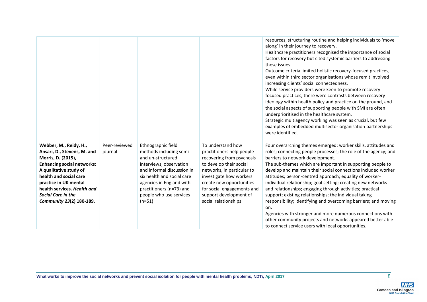|                                                                                                                                                                                                                                                                                       |                          |                                                                                                                                                                                                                                                          |                                                                                                                                                                                                                                                                             | resources, structuring routine and helping individuals to 'move<br>along' in their journey to recovery.<br>Healthcare practitioners recognised the importance of social<br>factors for recovery but cited systemic barriers to addressing<br>these issues.<br>Outcome criteria limited holistic recovery-focused practices,<br>even within third sector organisations whose remit involved<br>increasing clients' social connectedness.<br>While service providers were keen to promote recovery-<br>focused practices, there were contrasts between recovery<br>ideology within health policy and practice on the ground, and<br>the social aspects of supporting people with SMI are often<br>underprioritised in the healthcare system.<br>Strategic multiagency working was seen as crucial, but few<br>examples of embedded multisector organisation partnerships<br>were identified. |
|---------------------------------------------------------------------------------------------------------------------------------------------------------------------------------------------------------------------------------------------------------------------------------------|--------------------------|----------------------------------------------------------------------------------------------------------------------------------------------------------------------------------------------------------------------------------------------------------|-----------------------------------------------------------------------------------------------------------------------------------------------------------------------------------------------------------------------------------------------------------------------------|--------------------------------------------------------------------------------------------------------------------------------------------------------------------------------------------------------------------------------------------------------------------------------------------------------------------------------------------------------------------------------------------------------------------------------------------------------------------------------------------------------------------------------------------------------------------------------------------------------------------------------------------------------------------------------------------------------------------------------------------------------------------------------------------------------------------------------------------------------------------------------------------|
| Webber, M., Reidy, H.,<br>Ansari, D., Stevens, M. and<br>Morris, D. (2015),<br><b>Enhancing social networks:</b><br>A qualitative study of<br>health and social care<br>practice in UK mental<br>health services. Health and<br><b>Social Care in the</b><br>Community 23(2) 180-189. | Peer-reviewed<br>journal | Ethnographic field<br>methods including semi-<br>and un-structured<br>interviews, observation<br>and informal discussion in<br>six health and social care<br>agencies in England with<br>practitioners (n=73) and<br>people who use services<br>$(n=51)$ | To understand how<br>practitioners help people<br>recovering from psychosis<br>to develop their social<br>networks, in particular to<br>investigate how workers<br>create new opportunities<br>for social engagements and<br>support development of<br>social relationships | Four overarching themes emerged: worker skills, attitudes and<br>roles; connecting people processes; the role of the agency; and<br>barriers to network development.<br>The sub-themes which are important in supporting people to<br>develop and maintain their social connections included worker<br>attitudes; person-centred approach; equality of worker-<br>individual relationship; goal setting; creating new networks<br>and relationships; engaging through activities; practical<br>support; existing relationships; the individual taking<br>responsibility; identifying and overcoming barriers; and moving<br>on.<br>Agencies with stronger and more numerous connections with<br>other community projects and networks appeared better able<br>to connect service users with local opportunities.                                                                           |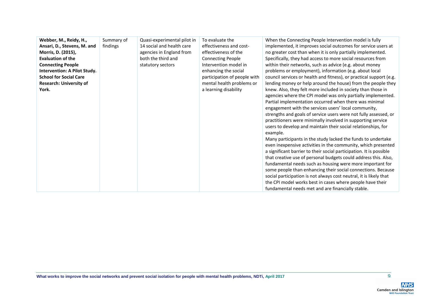| Webber, M., Reidy, H.,         | Summary of | Quasi-experimental pilot in | To evaluate the              | When the Connecting People Intervention model is fully              |
|--------------------------------|------------|-----------------------------|------------------------------|---------------------------------------------------------------------|
| Ansari, D., Stevens, M. and    | findings   | 14 social and health care   | effectiveness and cost-      | implemented, it improves social outcomes for service users at       |
| Morris, D. (2015),             |            | agencies in England from    | effectiveness of the         | no greater cost than when it is only partially implemented.         |
| <b>Evaluation of the</b>       |            | both the third and          | <b>Connecting People</b>     | Specifically, they had access to more social resources from         |
|                                |            |                             | Intervention model in        |                                                                     |
| <b>Connecting People</b>       |            | statutory sectors           |                              | within their networks, such as advice (e.g. about money             |
| Intervention: A Pilot Study.   |            |                             | enhancing the social         | problems or employment), information (e.g. about local              |
| <b>School for Social Care</b>  |            |                             | participation of people with | council services or health and fitness), or practical support (e.g. |
| <b>Research: University of</b> |            |                             | mental health problems or    | lending money or help around the house) from the people they        |
| York.                          |            |                             | a learning disability        | knew. Also, they felt more included in society than those in        |
|                                |            |                             |                              | agencies where the CPI model was only partially implemented.        |
|                                |            |                             |                              | Partial implementation occurred when there was minimal              |
|                                |            |                             |                              | engagement with the services users' local community,                |
|                                |            |                             |                              | strengths and goals of service users were not fully assessed, or    |
|                                |            |                             |                              | practitioners were minimally involved in supporting service         |
|                                |            |                             |                              | users to develop and maintain their social relationships, for       |
|                                |            |                             |                              | example.                                                            |
|                                |            |                             |                              | Many participants in the study lacked the funds to undertake        |
|                                |            |                             |                              | even inexpensive activities in the community, which presented       |
|                                |            |                             |                              | a significant barrier to their social participation. It is possible |
|                                |            |                             |                              | that creative use of personal budgets could address this. Also,     |
|                                |            |                             |                              | fundamental needs such as housing were more important for           |
|                                |            |                             |                              | some people than enhancing their social connections. Because        |
|                                |            |                             |                              | social participation is not always cost neutral, it is likely that  |
|                                |            |                             |                              | the CPI model works best in cases where people have their           |
|                                |            |                             |                              | fundamental needs met and are financially stable.                   |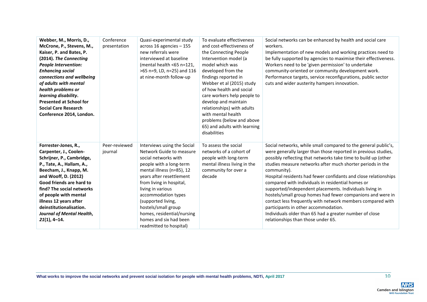| Webber, M., Morris, D.,<br>McCrone, P., Stevens, M.,<br>Kaiser, P. and Bates, P.<br>(2014). The Connecting<br><b>People Intervention:</b><br><b>Enhancing social</b><br>connections and wellbeing<br>of adults with mental<br>health problems or<br>learning disability.<br><b>Presented at School for</b><br><b>Social Care Research</b><br>Conference 2014, London. | Conference<br>presentation | Quasi-experimental study<br>across 16 agencies - 155<br>new referrals were<br>interviewed at baseline<br>(mental health <65 n=121,<br>>65 n=9, LD, n=25) and 116<br>at nine-month follow-up                                                                                                                                                                                 | To evaluate effectiveness<br>and cost-effectiveness of<br>the Connecting People<br>Intervention model (a<br>model which was<br>developed from the<br>findings reported in<br>Webber et al (2015) study<br>of how health and social<br>care workers help people to<br>develop and maintain<br>relationships) with adults<br>with mental health<br>problems (below and above<br>65) and adults with learning<br>disabilities | Social networks can be enhanced by health and social care<br>workers.<br>Implementation of new models and working practices need to<br>be fully supported by agencies to maximise their effectiveness.<br>Workers need to be 'given permission' to undertake<br>community-oriented or community development work.<br>Performance targets, service reconfigurations, public sector<br>cuts and wider austerity hampers innovation.                                                                                                                                                                                                                                                                                                       |
|-----------------------------------------------------------------------------------------------------------------------------------------------------------------------------------------------------------------------------------------------------------------------------------------------------------------------------------------------------------------------|----------------------------|-----------------------------------------------------------------------------------------------------------------------------------------------------------------------------------------------------------------------------------------------------------------------------------------------------------------------------------------------------------------------------|----------------------------------------------------------------------------------------------------------------------------------------------------------------------------------------------------------------------------------------------------------------------------------------------------------------------------------------------------------------------------------------------------------------------------|-----------------------------------------------------------------------------------------------------------------------------------------------------------------------------------------------------------------------------------------------------------------------------------------------------------------------------------------------------------------------------------------------------------------------------------------------------------------------------------------------------------------------------------------------------------------------------------------------------------------------------------------------------------------------------------------------------------------------------------------|
| Forrester-Jones, R.,<br>Carpenter, J., Coolen-<br>Schrijner, P., Cambridge,<br>P., Tate, A., Hallam, A.,<br>Beecham, J., Knapp, M.<br>and Wooff, D. (2012)<br>Good friends are hard to<br>find? The social networks<br>of people with mental<br>illness 12 years after<br>deinstitutionalisation.<br>Journal of Mental Health,<br>$21(1), 4-14.$                      | Peer-reviewed<br>journal   | Interviews using the Social<br>Network Guide to measure<br>social networks with<br>people with a long-term<br>mental illness (n=85), 12<br>years after resettlement<br>from living in hospital,<br>living in various<br>accommodation types<br>(supported living,<br>hostels/small group<br>homes, residential/nursing<br>homes and six had been<br>readmitted to hospital) | To assess the social<br>networks of a cohort of<br>people with long-term<br>mental illness living in the<br>community for over a<br>decade                                                                                                                                                                                                                                                                                 | Social networks, while small compared to the general public's,<br>were generally larger than those reported in previous studies,<br>possibly reflecting that networks take time to build up (other<br>studies measure networks after much shorter periods in the<br>community).<br>Hospital residents had fewer confidants and close relationships<br>compared with individuals in residential homes or<br>supported/independent placements. Individuals living in<br>hostels/small group homes had fewer companions and were in<br>contact less frequently with network members compared with<br>participants in other accommodation.<br>Individuals older than 65 had a greater number of close<br>relationships than those under 65. |

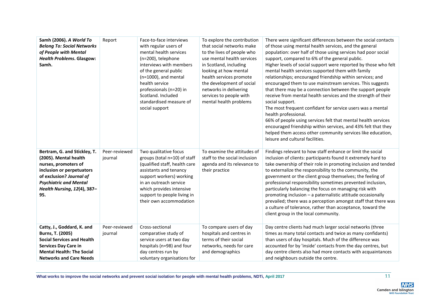| Samh (2006). A World To<br><b>Belong To: Social Networks</b><br>of People with Mental<br><b>Health Problems. Glasgow:</b><br>Samh.                                                                            | Report                   | Face-to-face interviews<br>with regular users of<br>mental health services<br>(n=200), telephone<br>interviews with members<br>of the general public<br>$(n=1000)$ , and mental<br>health service<br>professionals (n=20) in<br>Scotland. Included<br>standardised measure of<br>social support | To explore the contribution<br>that social networks make<br>to the lives of people who<br>use mental health services<br>in Scotland, including<br>looking at how mental<br>health services promote<br>the development of social<br>networks in delivering<br>services to people with<br>mental health problems | There were significant differences between the social contacts<br>of those using mental health services, and the general<br>population: over half of those using services had poor social<br>support, compared to 6% of the general public.<br>Higher levels of social support were reported by those who felt<br>mental health services supported them with family<br>relationships; encouraged friendship within services; and<br>encouraged them to use mainstream services. This suggests<br>that there may be a connection between the support people<br>receive from mental health services and the strength of their<br>social support.<br>The most frequent confidant for service users was a mental<br>health professional.<br>66% of people using services felt that mental health services<br>encouraged friendship within services, and 43% felt that they<br>helped them access other community services like education,<br>leisure and cultural facilities. |
|---------------------------------------------------------------------------------------------------------------------------------------------------------------------------------------------------------------|--------------------------|-------------------------------------------------------------------------------------------------------------------------------------------------------------------------------------------------------------------------------------------------------------------------------------------------|----------------------------------------------------------------------------------------------------------------------------------------------------------------------------------------------------------------------------------------------------------------------------------------------------------------|---------------------------------------------------------------------------------------------------------------------------------------------------------------------------------------------------------------------------------------------------------------------------------------------------------------------------------------------------------------------------------------------------------------------------------------------------------------------------------------------------------------------------------------------------------------------------------------------------------------------------------------------------------------------------------------------------------------------------------------------------------------------------------------------------------------------------------------------------------------------------------------------------------------------------------------------------------------------------|
| Bertram, G. and Stickley, T.<br>(2005). Mental health<br>nurses, promoters of<br>inclusion or perpetuators<br>of exclusion? Journal of<br><b>Psychiatric and Mental</b><br>Health Nursing, 12(4), 387-<br>95. | Peer-reviewed<br>journal | Two qualitative focus<br>groups (total n=10) of staff<br>(qualified staff, health care<br>assistants and tenancy<br>support workers) working<br>in an outreach service<br>which provides intensive<br>support to people living in<br>their own accommodation                                    | To examine the attitudes of<br>staff to the social inclusion<br>agenda and its relevance to<br>their practice                                                                                                                                                                                                  | Findings relevant to how staff enhance or limit the social<br>inclusion of clients: participants found it extremely hard to<br>take ownership of their role in promoting inclusion and tended<br>to externalize the responsibility to the community, the<br>government or the client group themselves; the feeling of<br>professional responsibility sometimes prevented inclusion,<br>particularly balancing the focus on managing risk with<br>promoting inclusion - a paternalistic attitude occasionally<br>prevailed; there was a perception amongst staff that there was<br>a culture of tolerance, rather than acceptance, toward the<br>client group in the local community.                                                                                                                                                                                                                                                                                      |
| Catty, J., Goddard, K. and<br>Burns, T. (2005)<br><b>Social Services and Health</b><br><b>Services Day Care in</b><br><b>Mental Health: The Social</b><br><b>Networks and Care Needs</b>                      | Peer-reviewed<br>journal | Cross-sectional<br>comparative study of<br>service users at two day<br>hospitals (n=98) and four<br>day centres run by<br>voluntary organisations for                                                                                                                                           | To compare users of day<br>hospitals and centres in<br>terms of their social<br>networks, needs for care<br>and demographics                                                                                                                                                                                   | Day centre clients had much larger social networks (three<br>times as many total contacts and twice as many confidants)<br>than users of day hospitals. Much of the difference was<br>accounted for by 'inside' contacts from the day centres, but<br>day centre clients also had more contacts with acquaintances<br>and neighbours outside the centre.                                                                                                                                                                                                                                                                                                                                                                                                                                                                                                                                                                                                                  |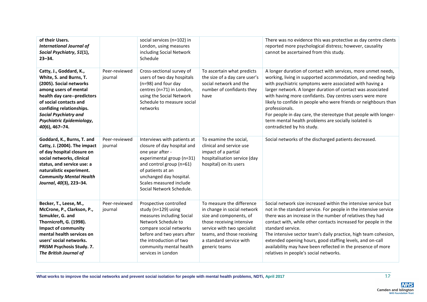| of their Users.<br><b>International Journal of</b><br>Social Psychiatry, 51(1),<br>$23 - 34.$                                                                                                                                                                              |                          | social services (n=102) in<br>London, using measures<br>including Social Network<br>Schedule                                                                                                                                                   |                                                                                                                                                                                                                           | There was no evidence this was protective as day centre clients<br>reported more psychological distress; however, causality<br>cannot be ascertained from this study.                                                                                                                                                                                                                                                                                                                                                                                             |
|----------------------------------------------------------------------------------------------------------------------------------------------------------------------------------------------------------------------------------------------------------------------------|--------------------------|------------------------------------------------------------------------------------------------------------------------------------------------------------------------------------------------------------------------------------------------|---------------------------------------------------------------------------------------------------------------------------------------------------------------------------------------------------------------------------|-------------------------------------------------------------------------------------------------------------------------------------------------------------------------------------------------------------------------------------------------------------------------------------------------------------------------------------------------------------------------------------------------------------------------------------------------------------------------------------------------------------------------------------------------------------------|
| Catty, J., Goddard, K.,<br>White, S. and Burns, T.<br>(2005). Social networks<br>among users of mental<br>health day care--predictors<br>of social contacts and<br>confiding relationships.<br><b>Social Psychiatry and</b><br>Psychiatric Epidemiology,<br>40(6), 467-74. | Peer-reviewed<br>journal | Cross-sectional survey of<br>users of two day hospitals<br>(n=98) and four day<br>centres (n=71) in London,<br>using the Social Network<br>Schedule to measure social<br>networks                                                              | To ascertain what predicts<br>the size of a day care user's<br>social network and the<br>number of confidants they<br>have                                                                                                | A longer duration of contact with services, more unmet needs,<br>working, living in supported accommodation, and needing help<br>with psychiatric symptoms were associated with having a<br>larger network. A longer duration of contact was associated<br>with having more confidants. Day centres users were more<br>likely to confide in people who were friends or neighbours than<br>professionals.<br>For people in day care, the stereotype that people with longer-<br>term mental health problems are socially isolated is<br>contradicted by his study. |
| Goddard, K., Burns, T. and<br>Catty, J. (2004). The impact<br>of day hospital closure on<br>social networks, clinical<br>status, and service use: a<br>naturalistic experiment.<br><b>Community Mental Health</b><br>Journal, 40(3), 223-34.                               | Peer-reviewed<br>journal | Interviews with patients at<br>closure of day hospital and<br>one year after -<br>experimental group (n=31)<br>and control group (n=61)<br>of patients at an<br>unchanged day hospital.<br>Scales measured include<br>Social Network Schedule. | To examine the social,<br>clinical and service use<br>impact of a partial<br>hospitalisation service (day<br>hospital) on its users                                                                                       | Social networks of the discharged patients decreased.                                                                                                                                                                                                                                                                                                                                                                                                                                                                                                             |
| Becker, T., Leese, M.,<br>McCrone, P., Clarkson, P.,<br>Szmukler, G. and<br>Thornicroft, G. (1998).<br><b>Impact of community</b><br>mental health services on<br>users' social networks.<br>PRISM Psychosis Study. 7.<br>The British Journal of                           | Peer-reviewed<br>journal | Prospective controlled<br>study (n=129) using<br>measures including Social<br>Network Schedule to<br>compare social networks<br>before and two years after<br>the introduction of two<br>community mental health<br>services in London         | To measure the difference<br>in change in social network<br>size and components, of<br>those receiving intensive<br>service with two specialist<br>teams, and those receiving<br>a standard service with<br>generic teams | Social network size increased within the intensive service but<br>not in the standard service. For people in the intensive service<br>there was an increase in the number of relatives they had<br>contact with, while other contacts increased for people in the<br>standard service.<br>The intensive sector team's daily practice, high team cohesion,<br>extended opening hours, good staffing levels, and on-call<br>availability may have been reflected in the presence of more<br>relatives in people's social networks.                                  |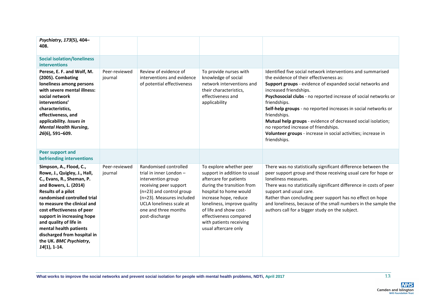| Psychiatry, 173(5), 404-<br>408.                                                                                                                                                                                                                                                                                                                                                               |                          |                                                                                                                                                                                                                                 |                                                                                                                                                                                                                                                                                                          |                                                                                                                                                                                                                                                                                                                                                                                                                                                                                                                                                             |
|------------------------------------------------------------------------------------------------------------------------------------------------------------------------------------------------------------------------------------------------------------------------------------------------------------------------------------------------------------------------------------------------|--------------------------|---------------------------------------------------------------------------------------------------------------------------------------------------------------------------------------------------------------------------------|----------------------------------------------------------------------------------------------------------------------------------------------------------------------------------------------------------------------------------------------------------------------------------------------------------|-------------------------------------------------------------------------------------------------------------------------------------------------------------------------------------------------------------------------------------------------------------------------------------------------------------------------------------------------------------------------------------------------------------------------------------------------------------------------------------------------------------------------------------------------------------|
| <b>Social isolation/loneliness</b><br><b>interventions</b>                                                                                                                                                                                                                                                                                                                                     |                          |                                                                                                                                                                                                                                 |                                                                                                                                                                                                                                                                                                          |                                                                                                                                                                                                                                                                                                                                                                                                                                                                                                                                                             |
| Perese, E. F. and Wolf, M.<br>(2005). Combating<br>loneliness among persons<br>with severe mental illness:<br>social network<br>interventions'<br>characteristics,<br>effectiveness, and<br>applicability. Issues in<br><b>Mental Health Nursing,</b><br>26(6), 591-609.                                                                                                                       | Peer-reviewed<br>journal | Review of evidence of<br>interventions and evidence<br>of potential effectiveness                                                                                                                                               | To provide nurses with<br>knowledge of social<br>network interventions and<br>their characteristics,<br>effectiveness and<br>applicability                                                                                                                                                               | Identified five social network interventions and summarised<br>the evidence of their effectiveness as:<br>Support groups - evidence of expanded social networks and<br>increased friendships.<br>Psychosocial clubs - no reported increase of social networks or<br>friendships.<br>Self-help groups - no reported increases in social networks or<br>friendships.<br>Mutual help groups - evidence of decreased social isolation;<br>no reported increase of friendships.<br>Volunteer groups - increase in social activities; increase in<br>friendships. |
| <b>Peer support and</b><br>befriending interventions                                                                                                                                                                                                                                                                                                                                           |                          |                                                                                                                                                                                                                                 |                                                                                                                                                                                                                                                                                                          |                                                                                                                                                                                                                                                                                                                                                                                                                                                                                                                                                             |
| Simpson, A., Flood, C.,<br>Rowe, J., Quigley, J., Hall,<br>C., Evans, R., Sheman, P.<br>and Bowers, L. (2014)<br>Results of a pilot<br>randomised controlled trial<br>to measure the clinical and<br>cost effectiveness of peer<br>support in increasing hope<br>and quality of life in<br>mental health patients<br>discharged from hospital in<br>the UK. BMC Psychiatry,<br>$14(1)$ , 1-14. | Peer-reviewed<br>journal | Randomised controlled<br>trial in inner London -<br>intervention group<br>receiving peer support<br>(n=23) and control group<br>(n=23). Measures included<br>UCLA loneliness scale at<br>one and three months<br>post-discharge | To explore whether peer<br>support in addition to usual<br>aftercare for patients<br>during the transition from<br>hospital to home would<br>increase hope, reduce<br>loneliness, improve quality<br>of life and show cost-<br>effectiveness compared<br>with patients receiving<br>usual aftercare only | There was no statistically significant difference between the<br>peer support group and those receiving usual care for hope or<br>loneliness measures.<br>There was no statistically significant difference in costs of peer<br>support and usual care.<br>Rather than concluding peer support has no effect on hope<br>and loneliness, because of the small numbers in the sample the<br>authors call for a bigger study on the subject.                                                                                                                   |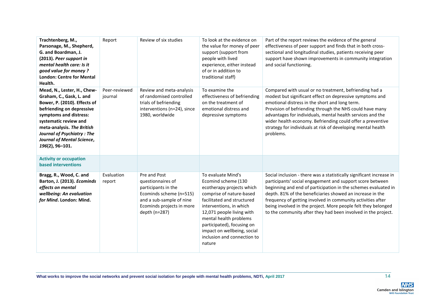| Trachtenberg, M.,<br>Parsonage, M., Shepherd,<br>G. and Boardman, J.<br>(2013). Peer support in<br>mental health care: Is it<br>good value for money?<br><b>London: Centre for Mental</b><br>Health.                                                                                               | Report                   | Review of six studies                                                                                                                                         | To look at the evidence on<br>the value for money of peer<br>support (support from<br>people with lived<br>experience, either instead<br>of or in addition to<br>traditional staff)                                                                                                                                      | Part of the report reviews the evidence of the general<br>effectiveness of peer support and finds that in both cross-<br>sectional and longitudinal studies, patients receiving peer<br>support have shown improvements in community integration<br>and social functioning.                                                                                                                                                                                       |
|----------------------------------------------------------------------------------------------------------------------------------------------------------------------------------------------------------------------------------------------------------------------------------------------------|--------------------------|---------------------------------------------------------------------------------------------------------------------------------------------------------------|--------------------------------------------------------------------------------------------------------------------------------------------------------------------------------------------------------------------------------------------------------------------------------------------------------------------------|-------------------------------------------------------------------------------------------------------------------------------------------------------------------------------------------------------------------------------------------------------------------------------------------------------------------------------------------------------------------------------------------------------------------------------------------------------------------|
| Mead, N., Lester, H., Chew-<br>Graham, C., Gask, L. and<br>Bower, P. (2010). Effects of<br>befriending on depressive<br>symptoms and distress:<br>systematic review and<br>meta-analysis. The British<br><b>Journal of Psychiatry: The</b><br><b>Journal of Mental Science,</b><br>196(2), 96-101. | Peer-reviewed<br>journal | Review and meta-analysis<br>of randomised controlled<br>trials of befriending<br>interventions (n=24), since<br>1980, worldwide                               | To examine the<br>effectiveness of befriending<br>on the treatment of<br>emotional distress and<br>depressive symptoms                                                                                                                                                                                                   | Compared with usual or no treatment, befriending had a<br>modest but significant effect on depressive symptoms and<br>emotional distress in the short and long term.<br>Provision of befriending through the NHS could have many<br>advantages for individuals, mental health services and the<br>wider health economy. Befriending could offer a preventive<br>strategy for individuals at risk of developing mental health<br>problems.                         |
| <b>Activity or occupation</b><br><b>based interventions</b>                                                                                                                                                                                                                                        |                          |                                                                                                                                                               |                                                                                                                                                                                                                                                                                                                          |                                                                                                                                                                                                                                                                                                                                                                                                                                                                   |
| Bragg, R., Wood, C. and<br>Barton, J. (2013). Ecominds<br>effects on mental<br>wellbeing: An evaluation<br>for Mind. London: Mind.                                                                                                                                                                 | Evaluation<br>report     | Pre and Post<br>questionnaires of<br>participants in the<br>Ecominds scheme (n=515)<br>and a sub-sample of nine<br>Ecominds projects in more<br>depth (n=287) | To evaluate Mind's<br>Ecomind scheme (130<br>ecotherapy projects which<br>comprise of nature-based<br>facilitated and structured<br>interventions, in which<br>12,071 people living with<br>mental health problems<br>participated), focusing on<br>impact on wellbeing, social<br>inclusion and connection to<br>nature | Social inclusion - there was a statistically significant increase in<br>participants' social engagement and support score between<br>beginning and end of participation in the schemes evaluated in<br>depth. 81% of the beneficiaries showed an increase in the<br>frequency of getting involved in community activities after<br>being involved in the project. More people felt they belonged<br>to the community after they had been involved in the project. |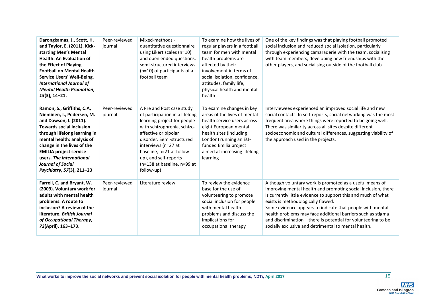| Darongkamas, J., Scott, H.<br>and Taylor, E. (2011). Kick-<br>starting Men's Mental<br><b>Health: An Evaluation of</b><br>the Effect of Playing<br><b>Football on Mental Health</b><br>Service Users' Well-Being.<br><b>International Journal of</b><br><b>Mental Health Promotion,</b><br>$13(3)$ , 14-21.                             | Peer-reviewed<br>journal | Mixed-methods -<br>quantitative questionnaire<br>using Likert scales (n=10)<br>and open ended questions,<br>semi-structured interviews<br>(n=10) of participants of a<br>football team                                                                                                                   | To examine how the lives of<br>regular players in a football<br>team for men with mental<br>health problems are<br>affected by their<br>involvement in terms of<br>social isolation, confidence,<br>attitudes, family life,<br>physical health and mental<br>health | One of the key findings was that playing football promoted<br>social inclusion and reduced social isolation, particularly<br>through experiencing camaraderie with the team, socialising<br>with team members, developing new friendships with the<br>other players, and socialising outside of the football club.                                                                                                                                                                     |
|-----------------------------------------------------------------------------------------------------------------------------------------------------------------------------------------------------------------------------------------------------------------------------------------------------------------------------------------|--------------------------|----------------------------------------------------------------------------------------------------------------------------------------------------------------------------------------------------------------------------------------------------------------------------------------------------------|---------------------------------------------------------------------------------------------------------------------------------------------------------------------------------------------------------------------------------------------------------------------|----------------------------------------------------------------------------------------------------------------------------------------------------------------------------------------------------------------------------------------------------------------------------------------------------------------------------------------------------------------------------------------------------------------------------------------------------------------------------------------|
| Ramon, S., Griffiths, C.A,<br>Nieminen, I., Pedersen, M.<br>and Dawson, I. (2011).<br><b>Towards social inclusion</b><br>through lifelong learning in<br>mental health: analysis of<br>change in the lives of the<br><b>EMILIA project service</b><br>users. The International<br><b>Journal of Social</b><br>Psychiatry, 57(3), 211-23 | Peer-reviewed<br>journal | A Pre and Post case study<br>of participation in a lifelong<br>learning project for people<br>with schizophrenia, schizo-<br>affective or bipolar<br>disorder. Semi-structured<br>interviews (n=27 at<br>baseline, n=21 at follow-<br>up), and self-reports<br>(n=138 at baseline, n=99 at<br>follow-up) | To examine changes in key<br>areas of the lives of mental<br>health service users across<br>eight European mental<br>health sites (including<br>London) running an EU-<br>funded Emilia project<br>aimed at increasing lifelong<br>learning                         | Interviewees experienced an improved social life and new<br>social contacts. In self-reports, social networking was the most<br>frequent area where things were reported to be going well.<br>There was similarity across all sites despite different<br>socioeconomic and cultural differences, suggesting viability of<br>the approach used in the projects.                                                                                                                         |
| Farrell, C. and Bryant, W.<br>(2009). Voluntary work for<br>adults with mental health<br>problems: A route to<br>inclusion? A review of the<br>literature. British Journal<br>of Occupational Therapy,<br>72(April), 163-173.                                                                                                           | Peer-reviewed<br>journal | Literature review                                                                                                                                                                                                                                                                                        | To review the evidence<br>base for the use of<br>volunteering to promote<br>social inclusion for people<br>with mental health<br>problems and discuss the<br>implications for<br>occupational therapy                                                               | Although voluntary work is promoted as a useful means of<br>improving mental health and promoting social inclusion, there<br>is currently little evidence to support this and much of what<br>exists is methodologically flawed.<br>Some evidence appears to indicate that people with mental<br>health problems may face additional barriers such as stigma<br>and discrimination - there is potential for volunteering to be<br>socially exclusive and detrimental to mental health. |

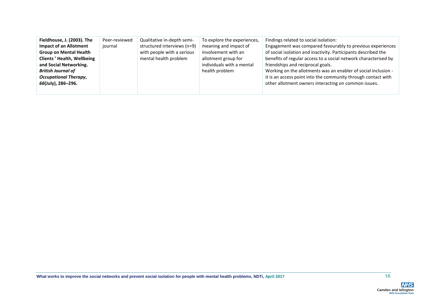| Fieldhouse, J. (2003). The        | Peer-reviewed | Qualitative in-depth semi-  | To explore the experiences, | Findings related to social isolation:                           |
|-----------------------------------|---------------|-----------------------------|-----------------------------|-----------------------------------------------------------------|
| <b>Impact of an Allotment</b>     | journal       | structured interviews (n=9) | meaning and impact of       | Engagement was compared favourably to previous experiences      |
| <b>Group on Mental Health</b>     |               | with people with a serious  | involvement with an         | of social isolation and inactivity. Participants described the  |
| <b>Clients' Health, Wellbeing</b> |               | mental health problem       | allotment group for         | benefits of regular access to a social network characterised by |
| and Social Networking.            |               |                             | individuals with a mental   | friendships and reciprocal goals.                               |
| <b>British Journal of</b>         |               |                             | health problem              | Working on the allotments was an enabler of social inclusion -  |
| <b>Occupational Therapy,</b>      |               |                             |                             | it is an access point into the community through contact with   |
| 66(July), 286-296.                |               |                             |                             | other allotment owners interacting on common issues.            |
|                                   |               |                             |                             |                                                                 |